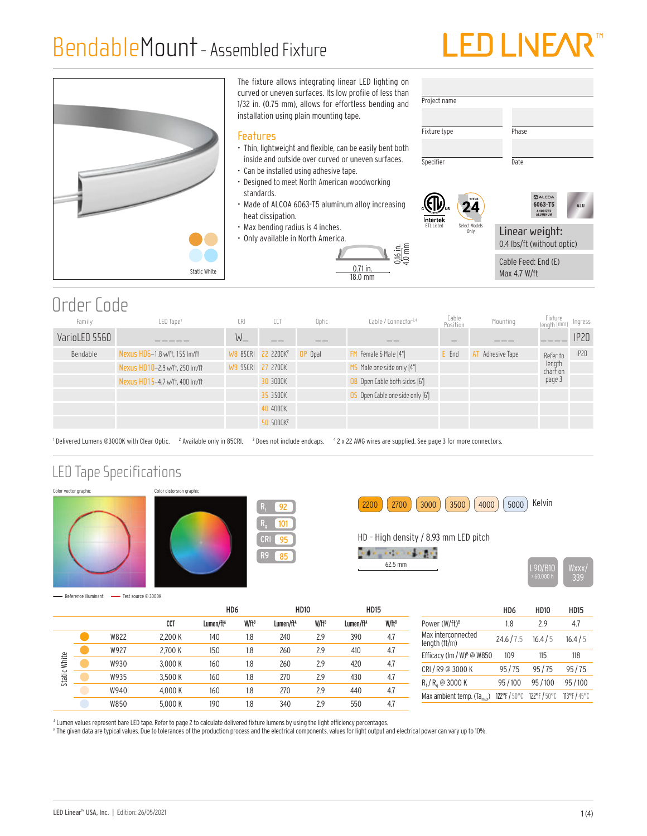### BendableMount- Assembled Fixture

## LED LINE/



### Order Code

| Family        | LED Tape <sup>1</sup>          | CRI     | CCT                            | Optic   | Cable / Connector <sup>3,4</sup>        | Cable<br>Position | Mounting      | Fixture<br>length (mm)         | Ingress |
|---------------|--------------------------------|---------|--------------------------------|---------|-----------------------------------------|-------------------|---------------|--------------------------------|---------|
| VarioLED 5560 |                                | $W_{-}$ |                                | ___     |                                         | _                 |               |                                | IP20    |
| Bendable      | Nexus HD6-1.8 w/ft, 155 lm/ft  |         | WB 85CRI 22 2200K <sup>2</sup> | OP Opal | Female & Male [4"]                      | E End             | Adhesive Tape | Refer to                       | IP20    |
|               | Nexus HD10-2.9 w/ft, 250 lm/ft |         | W9 95CRI 27 2700K              |         | MS Male one side only [4"]              |                   |               | length<br>char <del>i</del> on |         |
|               | Nexus HD15-4.7 w/ft, 400 lm/ft |         | 30 3000K                       |         | OB Open Cable both sides [6']           |                   |               | page 3                         |         |
|               |                                |         | 35 3500K                       |         | <b>OS</b> Open Cable one side only [6'] |                   |               |                                |         |
|               |                                |         | 40 4000K                       |         |                                         |                   |               |                                |         |
|               |                                |         | 50 5000K <sup>2</sup>          |         |                                         |                   |               |                                |         |

' Delivered Lumens @3000K with Clear Optic. <sup>2</sup> Available only in 85CRI. <sup>3</sup> Does not include endcaps. <sup>4</sup> 2 x 22 AWG wires are supplied. See page 3 for more connectors.

#### LED Tape Specifications











Reference illuminant - Test source @ 3000K

|                              |      |         | HD <sub>6</sub>       |          | <b>HD10</b>           |          | <b>HD15</b>           |                   |
|------------------------------|------|---------|-----------------------|----------|-----------------------|----------|-----------------------|-------------------|
|                              |      | CCT     | Lumen/ft <sup>A</sup> | $W/ft^B$ | Lumen/ft <sup>A</sup> | $W/ft^B$ | Lumen/ft <sup>A</sup> | W/ft <sup>B</sup> |
| White<br>Static <sup>1</sup> | W822 | 2.200 K | 140                   | 1.8      | 240                   | 2.9      | 390                   | 4.7               |
|                              | W927 | 2.700 K | 150                   | 1.8      | 260                   | 2.9      | 410                   | 4.7               |
|                              | W930 | 3.000 K | 160                   | 1.8      | 260                   | 2.9      | 420                   | 4.7               |
|                              | W935 | 3.500 K | 160                   | 1.8      | 270                   | 2.9      | 430                   | 4.7               |
|                              | W940 | 4.000 K | 160                   | 1.8      | 270                   | 2.9      | 440                   | 4.7               |
|                              | W850 | 5.000 K | 190                   | 1.8      | 340                   | 2.9      | 550                   | 4.7               |

|                                        | HD6        | <b>HD10</b> | <b>HD15</b> |
|----------------------------------------|------------|-------------|-------------|
| Power (W/ft) <sup>B</sup>              | 1.8        | 29          | 4.7         |
| Max interconnected<br>length (ft/m)    | 24.6/7.5   | 16.4/5      | 16.4/5      |
| Efficacy (Im / W) <sup>B</sup> @ W850  | 109        | 115         | 118         |
| CRI / R9 @ 3000 K                      | 95/75      | 95/75       | 95/75       |
| $R_f/R_q$ @ 3000 K                     | 95/100     | 95/100      | 95/100      |
| Max ambient temp. (Ta <sub>max</sub> ) | 122°F/50°C | 122°F/50°C  | 113°F/45°C  |

<sup>A</sup> Lumen values represent bare LED tape. Refer to page 2 to calculate delivered fixture lumens by using the light efficiency percentages.

<sup>8</sup> The given data are typical values. Due to tolerances of the production process and the electrical components, values for light output and electrical power can vary up to 10%.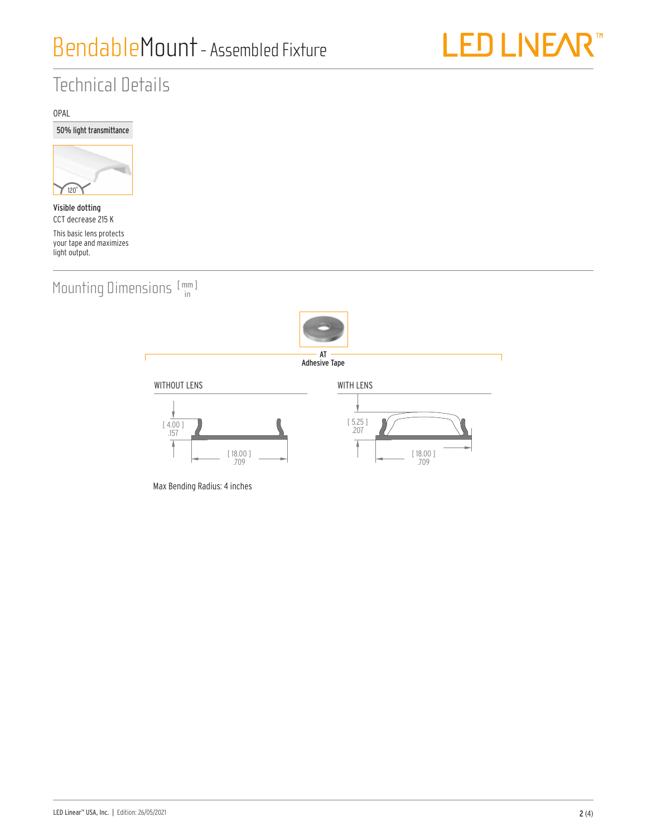

### Technical Details

OPAL





Visible dotting CCT decrease 215 K This basic lens protects your tape and maximizes light output.

Mounting Dimensions  $[\begin{smallmatrix} mm \\ in \end{smallmatrix}]$ 



AT Adhesive Tape

WITHOUT LENS WITH LENS [ 5.25 ] [ 4.00 ] .207 .157 7 [ 18.00 ] [ 18.00 ] .709 .709

Max Bending Radius: 4 inches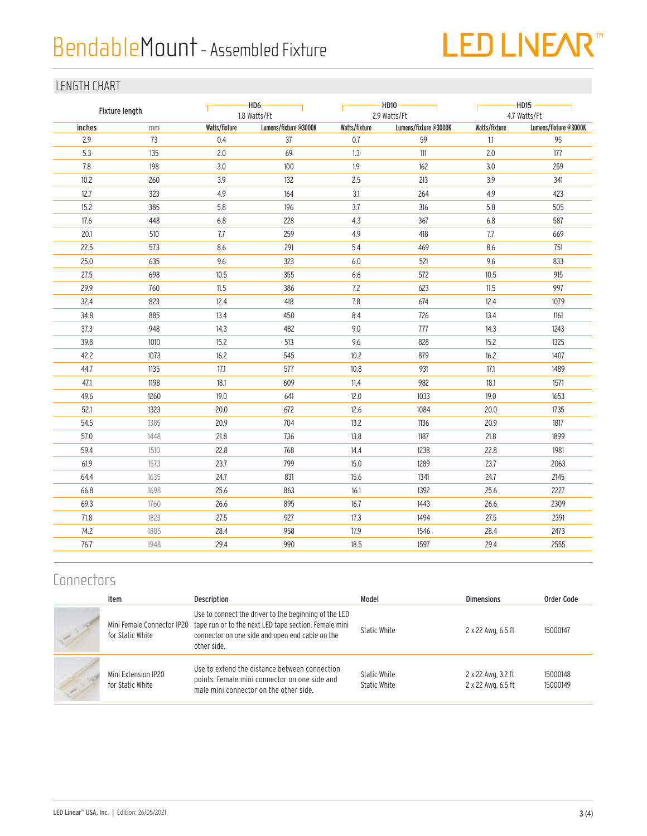## BendableMount- Assembled Fixture

# LED LIVEAR<sup>™</sup>

#### LENGTH CHART

| Fixture length |      |               | -HD6-<br>1.8 Watts/Ft |               | HD10-<br>2.9 Watts/Ft |               | $-HD15$<br>4.7 Watts/Ft |  |  |
|----------------|------|---------------|-----------------------|---------------|-----------------------|---------------|-------------------------|--|--|
| inches         | mm   | Watts/fixture | Lumens/fixture @3000K | Watts/fixture | Lumens/fixture @3000K | Watts/fixture | Lumens/fixture @3000K   |  |  |
| 2.9            | 73   | 0.4           | 37                    | 0.7           | 59                    | 1.1           | 95                      |  |  |
| 5.3            | 135  | 2.0           | 69                    | 1.3           | $111$                 | 2.0           | 177                     |  |  |
| 7.8            | 198  | 3.0           | 100                   | 1.9           | 162                   | 3.0           | 259                     |  |  |
| 10.2           | 260  | 3.9           | 132                   | 2.5           | 213                   | 3.9           | 341                     |  |  |
| 12.7           | 323  | 4.9           | 164                   | 3.1           | 264                   | 4.9           | 423                     |  |  |
| 15.2           | 385  | 5.8           | 196                   | 3.7           | 316                   | 5.8           | 505                     |  |  |
| $17.6$         | 448  | $6.8\,$       | 228                   | 4.3           | 367                   | $6.8\,$       | 587                     |  |  |
| 20.1           | 510  | 7.7           | 259                   | 4.9           | 418                   | 7.7           | 669                     |  |  |
| 22.5           | 573  | 8.6           | 291                   | 5.4           | 469                   | 8.6           | 751                     |  |  |
| 25.0           | 635  | 9.6           | 323                   | $6.0\,$       | 521                   | 9.6           | 833                     |  |  |
| 27.5           | 698  | 10.5          | 355                   | 6.6           | 572                   | 10.5          | 915                     |  |  |
| 29.9           | 760  | 11.5          | 386                   | 7.2           | 623                   | 11.5          | 997                     |  |  |
| 32.4           | 823  | 12.4          | 418                   | $7.8\,$       | 674                   | 12.4          | 1079                    |  |  |
| 34.8           | 885  | 13.4          | 450                   | 8.4           | 726                   | 13.4          | 1161                    |  |  |
| 37.3           | 948  | 14.3          | 482                   | 9.0           | 777                   | 14.3          | 1243                    |  |  |
| 39.8           | 1010 | 15.2          | 513                   | 9.6           | 828                   | 15.2          | 1325                    |  |  |
| 42.2           | 1073 | 16.2          | 545                   | 10.2          | 879                   | 16.2          | 1407                    |  |  |
| 44.7           | 1135 | 17.1          | 577                   | 10.8          | 931                   | 17.1          | 1489                    |  |  |
| 47.1           | 1198 | 18.1          | 609                   | 11.4          | 982                   | 18.1          | 1571                    |  |  |
| 49.6           | 1260 | 19.0          | 641                   | 12.0          | 1033                  | 19.0          | 1653                    |  |  |
| 52.1           | 1323 | 20.0          | 672                   | 12.6          | 1084                  | 20.0          | 1735                    |  |  |
| 54.5           | 1385 | 20.9          | 704                   | 13.2          | 1136                  | 20.9          | 1817                    |  |  |
| 57.0           | 1448 | 21.8          | 736                   | 13.8          | 1187                  | 21.8          | 1899                    |  |  |
| 59.4           | 1510 | 22.8          | 768                   | 14.4          | 1238                  | 22.8          | 1981                    |  |  |
| 61.9           | 1573 | 23.7          | 799                   | 15.0          | 1289                  | 23.7          | 2063                    |  |  |
| 64.4           | 1635 | 24.7          | 831                   | 15.6          | 1341                  | 24.7          | 2145                    |  |  |
| 66.8           | 1698 | 25.6          | 863                   | 16.1          | 1392                  | 25.6          | 2227                    |  |  |
| 69.3           | 1760 | 26.6          | 895                   | 16.7          | 1443                  | 26.6          | 2309                    |  |  |
| 71.8           | 1823 | 27.5          | 927                   | 17.3          | 1494                  | 27.5          | 2391                    |  |  |
| 74.2           | 1885 | 28.4          | 958                   | 17.9          | 1546                  | 28.4          | 2473                    |  |  |
| 76.7           | 1948 | 29.4          | 990                   | 18.5          | 1597                  | 29.4          | 2555                    |  |  |
|                |      |               |                       |               |                       |               |                         |  |  |

### **Connectors**

| Item                                    | <b>Description</b>                                                                                                                                                                                          | Model                        | <b>Dimensions</b>                        | Order Code           |
|-----------------------------------------|-------------------------------------------------------------------------------------------------------------------------------------------------------------------------------------------------------------|------------------------------|------------------------------------------|----------------------|
| for Static White                        | Use to connect the driver to the beginning of the LED<br>Mini Female Connector IP20 tape run or to the next LED tape section. Female mini<br>connector on one side and open end cable on the<br>other side. | Static White                 | 2 x 22 Awg, 6.5 ft                       | 15000147             |
| Mini Extension IP20<br>for Static White | Use to extend the distance between connection<br>points. Female mini connector on one side and<br>male mini connector on the other side.                                                                    | Static White<br>Static White | 2 x 22 Awg, 3.2 ft<br>2 x 22 Awg, 6.5 ft | 15000148<br>15000149 |